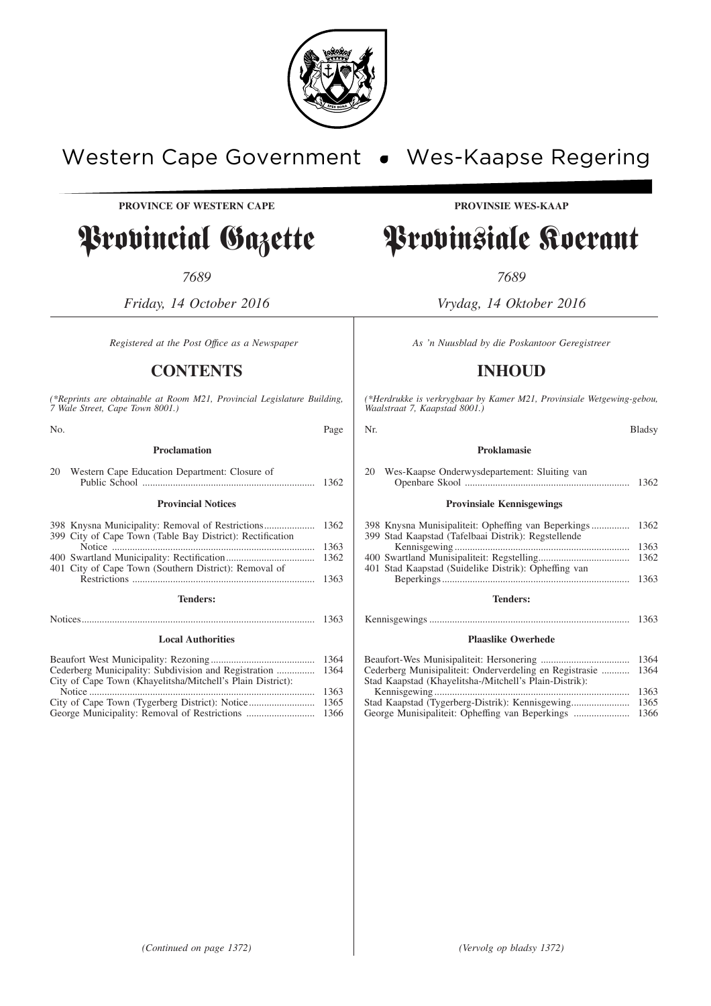

## Western Cape Government . Wes-Kaapse Regering

**PROVINCE OF WESTERN CAPE PROVINSIE WES-KAAP**

## Provincial Gazette Provinsiale Koerant

*7689 7689*

*Friday, 14 October 2016 Vrydag, 14 Oktober 2016*

## **CONTENTS INHOUD**

*(\*Reprints are obtainable at Room M21, Provincial Legislature Building, 7 Wale Street, Cape Town 8001.)*

| No.                                                                                                           | Page                 |
|---------------------------------------------------------------------------------------------------------------|----------------------|
| <b>Proclamation</b>                                                                                           |                      |
| 20<br>Western Cape Education Department: Closure of                                                           | 1362                 |
| <b>Provincial Notices</b>                                                                                     |                      |
| 398 Knysna Municipality: Removal of Restrictions<br>399 City of Cape Town (Table Bay District): Rectification | 1362                 |
|                                                                                                               | 1363                 |
| 401 City of Cape Town (Southern District): Removal of                                                         | 1362                 |
|                                                                                                               | 1363                 |
| <b>Tenders:</b>                                                                                               |                      |
|                                                                                                               | 1363                 |
| <b>Local Authorities</b>                                                                                      |                      |
|                                                                                                               |                      |
|                                                                                                               | 1364<br>1364         |
| City of Cape Town (Khayelitsha/Mitchell's Plain District):                                                    |                      |
|                                                                                                               | 1363                 |
| $\alpha$ and $\alpha$ in $\alpha$ is the set of $\alpha$                                                      | $\sim$ $\sim$ $\sim$ |

| $\pm$ . Internal contract the contract of the contract of the contract of the contract of the contract of the contract of the contract of the contract of the contract of the contract of the contract of the contract of the | 100C |
|-------------------------------------------------------------------------------------------------------------------------------------------------------------------------------------------------------------------------------|------|
|                                                                                                                                                                                                                               | 1365 |
|                                                                                                                                                                                                                               | 1366 |

*Registered at the Post Office as a Newspaper* As 'n Nuusblad by die Poskantoor Geregistreer

*(\*Herdrukke is verkrygbaar by Kamer M21, Provinsiale Wetgewing-gebou, Waalstraat 7, Kaapstad 8001.)*

| Page | Nr.                                                                                                                                                                | <b>Bladsy</b>        |
|------|--------------------------------------------------------------------------------------------------------------------------------------------------------------------|----------------------|
|      | Proklamasie                                                                                                                                                        |                      |
|      | Wes-Kaapse Onderwysdepartement: Sluiting van<br>20                                                                                                                 |                      |
|      | <b>Provinsiale Kennisgewings</b>                                                                                                                                   |                      |
| 1363 | 398 Knysna Munisipaliteit: Opheffing van Beperkings<br>399 Stad Kaapstad (Tafelbaai Distrik): Regstellende<br>401 Stad Kaapstad (Suidelike Distrik): Opheffing van | 1362<br>1363<br>1362 |
|      | <b>Tenders:</b>                                                                                                                                                    |                      |
|      |                                                                                                                                                                    | 1363                 |
|      | <b>Plaaslike Owerhede</b>                                                                                                                                          |                      |
|      | Cederberg Munisipaliteit: Onderverdeling en Registrasie<br>Stad Kaapstad (Khayelitsha-/Mitchell's Plain-Distrik):                                                  | 1364<br>1364         |
|      |                                                                                                                                                                    |                      |

| Cederberg Munisipaliteit: Onderverdening en Registrasie  1504 |  |
|---------------------------------------------------------------|--|
| Stad Kaapstad (Khayelitsha-/Mitchell's Plain-Distrik):        |  |
|                                                               |  |
|                                                               |  |
|                                                               |  |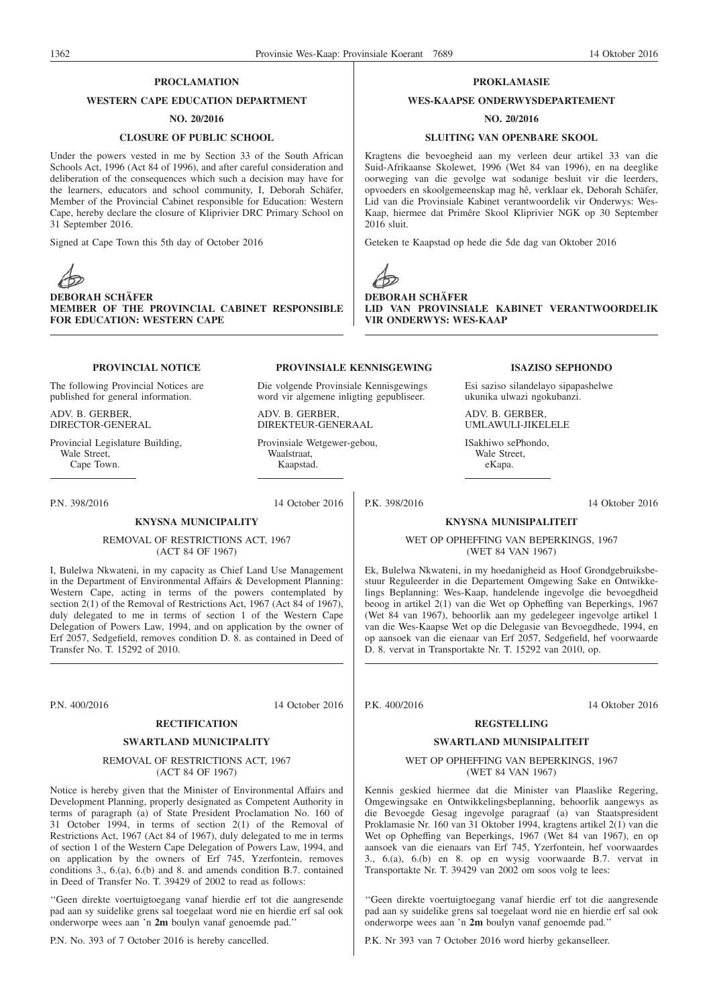#### **PROCLAMATION**

#### **WESTERN CAPE EDUCATION DEPARTMENT**

#### **NO. 20/2016**

#### **CLOSURE OF PUBLIC SCHOOL**

Under the powers vested in me by Section 33 of the South African Schools Act, 1996 (Act 84 of 1996), and after careful consideration and deliberation of the consequences which such a decision may have for the learners, educators and school community, I, Deborah Schäfer, Member of the Provincial Cabinet responsible for Education: Western Cape, hereby declare the closure of Kliprivier DRC Primary School on 31 September 2016.

Signed at Cape Town this 5th day of October 2016



**DEBORAH SCHÄFER MEMBER OF THE PROVINCIAL CABINET RESPONSIBLE FOR EDUCATION: WESTERN CAPE**

#### **PROVINCIAL NOTICE**

The following Provincial Notices are published for general information.

ADV. B. GERBER, DIRECTOR-GENERAL

Provincial Legislature Building, Wale Street. Cape Town.

P.N. 398/2016 14 October 2016

**PROVINSIALE KENNISGEWING**

Die volgende Provinsiale Kennisgewings word vir algemene inligting gepubliseer.

ADV. B. GERBER, DIREKTEUR-GENERAAL

Provinsiale Wetgewer-gebou, Waalstraat, Kaapstad.

**KNYSNA MUNICIPALITY**

REMOVAL OF RESTRICTIONS ACT, 1967 (ACT 84 OF 1967)

I, Bulelwa Nkwateni, in my capacity as Chief Land Use Management in the Department of Environmental Affairs & Development Planning: Western Cape, acting in terms of the powers contemplated by section 2(1) of the Removal of Restrictions Act, 1967 (Act 84 of 1967), duly delegated to me in terms of section 1 of the Western Cape Delegation of Powers Law, 1994, and on application by the owner of Erf 2057, Sedgefield, removes condition D. 8. as contained in Deed of Transfer No. T. 15292 of 2010.

P.N. 400/2016 14 October 2016

#### **RECTIFICATION**

#### **SWARTLAND MUNICIPALITY**

#### REMOVAL OF RESTRICTIONS ACT, 1967 (ACT 84 OF 1967)

Notice is hereby given that the Minister of Environmental Affairs and Development Planning, properly designated as Competent Authority in terms of paragraph (a) of State President Proclamation No. 160 of 31 October 1994, in terms of section 2(1) of the Removal of Restrictions Act, 1967 (Act 84 of 1967), duly delegated to me in terms of section 1 of the Western Cape Delegation of Powers Law, 1994, and on application by the owners of Erf 745, Yzerfontein, removes conditions 3., 6.(a), 6.(b) and 8. and amends condition B.7. contained in Deed of Transfer No. T. 39429 of 2002 to read as follows:

''Geen direkte voertuigtoegang vanaf hierdie erf tot die aangresende pad aan sy suidelike grens sal toegelaat word nie en hierdie erf sal ook onderworpe wees aan 'n **2m** boulyn vanaf genoemde pad.''

P.N. No. 393 of 7 October 2016 is hereby cancelled.

#### **PROKLAMASIE**

#### **WES-KAAPSE ONDERWYSDEPARTEMENT**

#### **NO. 20/2016**

#### **SLUITING VAN OPENBARE SKOOL**

Kragtens die bevoegheid aan my verleen deur artikel 33 van die Suid-Afrikaanse Skolewet, 1996 (Wet 84 van 1996), en na deeglike oorweging van die gevolge wat sodanige besluit vir die leerders, opvoeders en skoolgemeenskap mag hê, verklaar ek, Deborah Schäfer, Lid van die Provinsiale Kabinet verantwoordelik vir Onderwys: Wes-Kaap, hiermee dat Primêre Skool Kliprivier NGK op 30 September 2016 sluit.

Geteken te Kaapstad op hede die 5de dag van Oktober 2016



**DEBORAH SCHÄFER LID VAN PROVINSIALE KABINET VERANTWOORDELIK VIR ONDERWYS: WES-KAAP**

#### **ISAZISO SEPHONDO**

Esi saziso silandelayo sipapashelwe ukunika ulwazi ngokubanzi.

ADV. B. GERBER, UMLAWULI-JIKELELE

ISakhiwo sePhondo, Wale Street, eKapa.

P.K. 398/2016 14 Oktober 2016

#### **KNYSNA MUNISIPALITEIT**

WET OP OPHEFFING VAN BEPERKINGS, 1967 (WET 84 VAN 1967)

Ek, Bulelwa Nkwateni, in my hoedanigheid as Hoof Grondgebruiksbestuur Reguleerder in die Departement Omgewing Sake en Ontwikkelings Beplanning: Wes-Kaap, handelende ingevolge die bevoegdheid beoog in artikel 2(1) van die Wet op Opheffing van Beperkings, 1967 (Wet 84 van 1967), behoorlik aan my gedelegeer ingevolge artikel 1 van die Wes-Kaapse Wet op die Delegasie van Bevoegdhede, 1994, en op aansoek van die eienaar van Erf 2057, Sedgefield, hef voorwaarde D. 8. vervat in Transportakte Nr. T. 15292 van 2010, op.

P.K. 400/2016 14 Oktober 2016

#### **REGSTELLING**

#### **SWARTLAND MUNISIPALITEIT**

#### WET OP OPHEFFING VAN BEPERKINGS, 1967 (WET 84 VAN 1967)

Kennis geskied hiermee dat die Minister van Plaaslike Regering, Omgewingsake en Ontwikkelingsbeplanning, behoorlik aangewys as die Bevoegde Gesag ingevolge paragraaf (a) van Staatspresident Proklamasie Nr. 160 van 31 Oktober 1994, kragtens artikel 2(1) van die Wet op Opheffing van Beperkings, 1967 (Wet 84 van 1967), en op aansoek van die eienaars van Erf 745, Yzerfontein, hef voorwaardes 3., 6.(a), 6.(b) en 8. op en wysig voorwaarde B.7. vervat in Transportakte Nr. T. 39429 van 2002 om soos volg te lees:

''Geen direkte voertuigtoegang vanaf hierdie erf tot die aangresende pad aan sy suidelike grens sal toegelaat word nie en hierdie erf sal ook onderworpe wees aan 'n **2m** boulyn vanaf genoemde pad.''

P.K. Nr 393 van 7 October 2016 word hierby gekanselleer.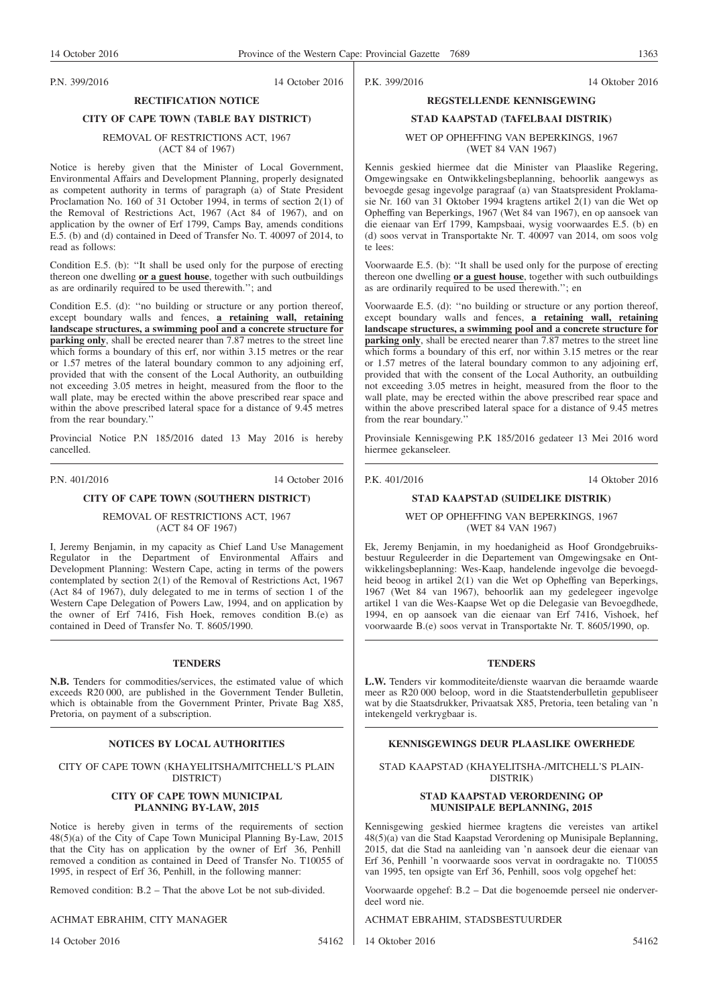P.N. 399/2016 14 October 2016

P.K. 399/2016 14 Oktober 2016

### **RECTIFICATION NOTICE CITY OF CAPE TOWN (TABLE BAY DISTRICT)**

#### REMOVAL OF RESTRICTIONS ACT, 1967 (ACT 84 of 1967)

Notice is hereby given that the Minister of Local Government, Environmental Affairs and Development Planning, properly designated as competent authority in terms of paragraph (a) of State President Proclamation No. 160 of 31 October 1994, in terms of section 2(1) of the Removal of Restrictions Act, 1967 (Act 84 of 1967), and on application by the owner of Erf 1799, Camps Bay, amends conditions E.5. (b) and (d) contained in Deed of Transfer No. T. 40097 of 2014, to read as follows:

Condition E.5. (b): ''It shall be used only for the purpose of erecting thereon one dwelling **or a guest house**, together with such outbuildings as are ordinarily required to be used therewith.''; and

Condition E.5. (d): ''no building or structure or any portion thereof, except boundary walls and fences, **a retaining wall, retaining landscape structures, a swimming pool and a concrete structure for parking only**, shall be erected nearer than 7.87 metres to the street line which forms a boundary of this erf, nor within 3.15 metres or the rear or 1.57 metres of the lateral boundary common to any adjoining erf, provided that with the consent of the Local Authority, an outbuilding not exceeding 3.05 metres in height, measured from the floor to the wall plate, may be erected within the above prescribed rear space and within the above prescribed lateral space for a distance of 9.45 metres from the rear boundary.''

Provincial Notice P.N 185/2016 dated 13 May 2016 is hereby cancelled.

P.N. 401/2016 14 October 2016

#### **CITY OF CAPE TOWN (SOUTHERN DISTRICT)**

REMOVAL OF RESTRICTIONS ACT, 1967 (ACT 84 OF 1967)

I, Jeremy Benjamin, in my capacity as Chief Land Use Management Regulator in the Department of Environmental Affairs and Development Planning: Western Cape, acting in terms of the powers contemplated by section 2(1) of the Removal of Restrictions Act, 1967 (Act 84 of 1967), duly delegated to me in terms of section 1 of the Western Cape Delegation of Powers Law, 1994, and on application by the owner of Erf 7416, Fish Hoek, removes condition B.(e) as contained in Deed of Transfer No. T. 8605/1990.

#### **TENDERS**

**N.B.** Tenders for commodities/services, the estimated value of which exceeds R20 000, are published in the Government Tender Bulletin, which is obtainable from the Government Printer, Private Bag X85, Pretoria, on payment of a subscription.

#### CITY OF CAPE TOWN (KHAYELITSHA/MITCHELL'S PLAIN DISTRICT)

#### **CITY OF CAPE TOWN MUNICIPAL PLANNING BY-LAW, 2015**

Notice is hereby given in terms of the requirements of section 48(5)(a) of the City of Cape Town Municipal Planning By-Law, 2015 that the City has on application by the owner of Erf 36, Penhill removed a condition as contained in Deed of Transfer No. T10055 of 1995, in respect of Erf 36, Penhill, in the following manner:

Removed condition: B.2 – That the above Lot be not sub-divided.

#### ACHMAT EBRAHIM, CITY MANAGER

14 October 2016 54162

#### **REGSTELLENDE KENNISGEWING**

### **STAD KAAPSTAD (TAFELBAAI DISTRIK)** WET OP OPHEFFING VAN BEPERKINGS, 1967

(WET 84 VAN 1967)

Kennis geskied hiermee dat die Minister van Plaaslike Regering, Omgewingsake en Ontwikkelingsbeplanning, behoorlik aangewys as bevoegde gesag ingevolge paragraaf (a) van Staatspresident Proklamasie Nr. 160 van 31 Oktober 1994 kragtens artikel 2(1) van die Wet op Opheffing van Beperkings, 1967 (Wet 84 van 1967), en op aansoek van die eienaar van Erf 1799, Kampsbaai, wysig voorwaardes E.5. (b) en (d) soos vervat in Transportakte Nr. T. 40097 van 2014, om soos volg te  $l_{\text{e}}$ 

Voorwaarde E.5. (b): ''It shall be used only for the purpose of erecting thereon one dwelling **or a guest house**, together with such outbuildings as are ordinarily required to be used therewith.''; en

Voorwaarde E.5. (d): ''no building or structure or any portion thereof, except boundary walls and fences, **a retaining wall, retaining landscape structures, a swimming pool and a concrete structure for parking only**, shall be erected nearer than 7.87 metres to the street line which forms a boundary of this erf, nor within 3.15 metres or the rear or 1.57 metres of the lateral boundary common to any adjoining erf, provided that with the consent of the Local Authority, an outbuilding not exceeding 3.05 metres in height, measured from the floor to the wall plate, may be erected within the above prescribed rear space and within the above prescribed lateral space for a distance of 9.45 metres from the rear boundary.''

Provinsiale Kennisgewing P.K 185/2016 gedateer 13 Mei 2016 word hiermee gekanseleer.

P.K. 401/2016 14 Oktober 2016

#### **STAD KAAPSTAD (SUIDELIKE DISTRIK)**

WET OP OPHEFFING VAN BEPERKINGS, 1967 (WET 84 VAN 1967)

Ek, Jeremy Benjamin, in my hoedanigheid as Hoof Grondgebruiksbestuur Reguleerder in die Departement van Omgewingsake en Ontwikkelingsbeplanning: Wes-Kaap, handelende ingevolge die bevoegdheid beoog in artikel 2(1) van die Wet op Opheffing van Beperkings, 1967 (Wet 84 van 1967), behoorlik aan my gedelegeer ingevolge artikel 1 van die Wes-Kaapse Wet op die Delegasie van Bevoegdhede, 1994, en op aansoek van die eienaar van Erf 7416, Vishoek, hef voorwaarde B.(e) soos vervat in Transportakte Nr. T. 8605/1990, op.

#### **TENDERS**

**L.W.** Tenders vir kommoditeite/dienste waarvan die beraamde waarde meer as R20 000 beloop, word in die Staatstenderbulletin gepubliseer wat by die Staatsdrukker, Privaatsak X85, Pretoria, teen betaling van 'n intekengeld verkrygbaar is.

#### **NOTICES BY LOCAL AUTHORITIES EXERCITE:** KENNISGEWINGS DEUR PLAASLIKE OWERHEDE

STAD KAAPSTAD (KHAYELITSHA-/MITCHELL'S PLAIN-DISTRIK)

#### **STAD KAAPSTAD VERORDENING OP MUNISIPALE BEPLANNING, 2015**

Kennisgewing geskied hiermee kragtens die vereistes van artikel 48(5)(a) van die Stad Kaapstad Verordening op Munisipale Beplanning, 2015, dat die Stad na aanleiding van 'n aansoek deur die eienaar van Erf 36, Penhill 'n voorwaarde soos vervat in oordragakte no. T10055 van 1995, ten opsigte van Erf 36, Penhill, soos volg opgehef het:

Voorwaarde opgehef: B.2 – Dat die bogenoemde perseel nie onderverdeel word nie.

ACHMAT EBRAHIM, STADSBESTUURDER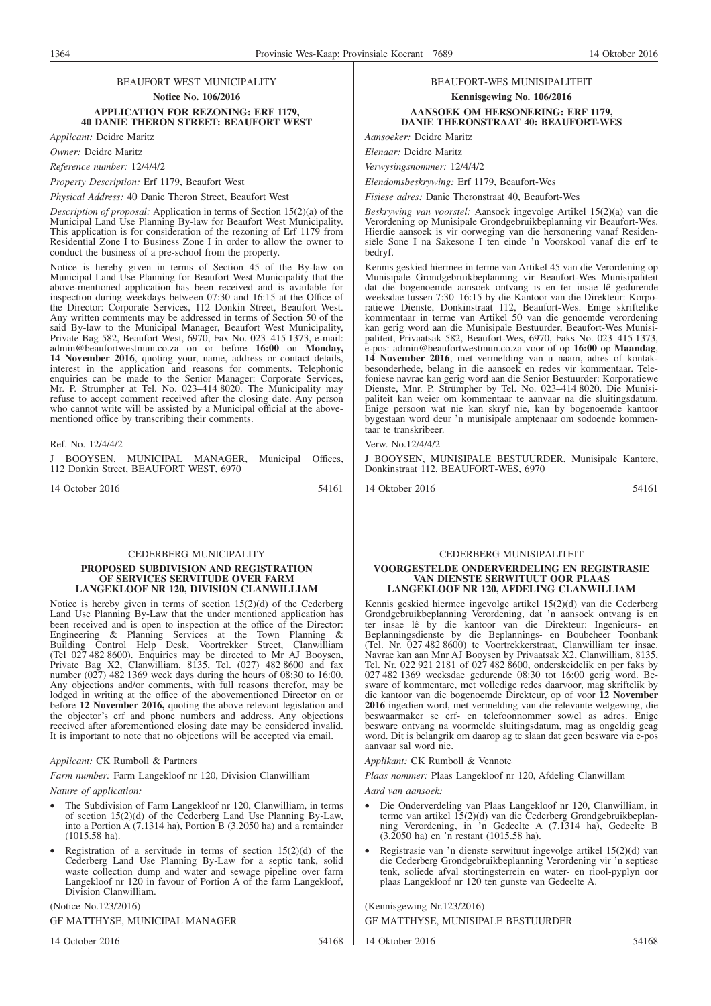#### BEAUFORT WEST MUNICIPALITY **Notice No. 106/2016 APPLICATION FOR REZONING: ERF 1179, 40 DANIE THERON STREET: BEAUFORT WEST**

*Applicant:* Deidre Maritz

*Owner:* Deidre Maritz

*Reference number:* 12/4/4/2

*Property Description:* Erf 1179, Beaufort West

*Physical Address:* 40 Danie Theron Street, Beaufort West

*Description of proposal:* Application in terms of Section 15(2)(a) of the Municipal Land Use Planning By-law for Beaufort West Municipality. This application is for consideration of the rezoning of Erf 1179 from Residential Zone I to Business Zone I in order to allow the owner to conduct the business of a pre-school from the property.

Notice is hereby given in terms of Section 45 of the By-law on Municipal Land Use Planning for Beaufort West Municipality that the above-mentioned application has been received and is available for inspection during weekdays between 07:30 and 16:15 at the Office of the Director: Corporate Services, 112 Donkin Street, Beaufort West. Any written comments may be addressed in terms of Section 50 of the said By-law to the Municipal Manager, Beaufort West Municipality, Private Bag 582, Beaufort West, 6970, Fax No. 023–415 1373, e-mail: admin@beaufortwestmun.co.za on or before **16:00** on **Monday, 14 November 2016**, quoting your, name, address or contact details, interest in the application and reasons for comments. Telephonic enquiries can be made to the Senior Manager: Corporate Services, Mr. P. Strümpher at Tel. No. 023–414 8020. The Municipality may refuse to accept comment received after the closing date. Any person who cannot write will be assisted by a Municipal official at the abovementioned office by transcribing their comments.

#### Ref. No. 12/4/4/2

J BOOYSEN, MUNICIPAL MANAGER, Municipal Offices, 112 Donkin Street, BEAUFORT WEST, 6970

14 October 2016 54161

#### CEDERBERG MUNICIPALITY

#### **PROPOSED SUBDIVISION AND REGISTRATION OF SERVICES SERVITUDE OVER FARM LANGEKLOOF NR 120, DIVISION CLANWILLIAM**

Notice is hereby given in terms of section 15(2)(d) of the Cederberg Land Use Planning By-Law that the under mentioned application has been received and is open to inspection at the office of the Director: Engineering & Planning Services at the Town Planning & Building Control Help Desk, Voortrekker Street, Clanwilliam (Tel 027 482 8600). Enquiries may be directed to Mr AJ Booysen, Private Bag X2, Clanwilliam, 8135, Tel. (027) 482 8600 and fax number (027) 482 1369 week days during the hours of 08:30 to 16:00. Any objections and/or comments, with full reasons therefor, may be lodged in writing at the office of the abovementioned Director on or before **12 November 2016,** quoting the above relevant legislation and the objector's erf and phone numbers and address. Any objections received after aforementioned closing date may be considered invalid. It is important to note that no objections will be accepted via email.

#### *Applicant:* CK Rumboll & Partners

*Farm number:* Farm Langekloof nr 120, Division Clanwilliam

*Nature of application:*

- The Subdivision of Farm Langekloof nr 120, Clanwilliam, in terms of section 15(2)(d) of the Cederberg Land Use Planning By-Law, into a Portion A (7.1314 ha), Portion B (3.2050 ha) and a remainder (1015.58 ha).
- Registration of a servitude in terms of section  $15(2)(d)$  of the Cederberg Land Use Planning By-Law for a septic tank, solid waste collection dump and water and sewage pipeline over farm Langekloof nr 120 in favour of Portion A of the farm Langekloof, Division Clanwilliam.

(Notice No.123/2016)

GF MATTHYSE, MUNICIPAL MANAGER

14 October 2016 54168

#### BEAUFORT-WES MUNISIPALITEIT **Kennisgewing No. 106/2016 AANSOEK OM HERSONERING: ERF 1179, DANIE THERONSTRAAT 40: BEAUFORT-WES**

*Aansoeker:* Deidre Maritz

*Eienaar:* Deidre Maritz

*Verwysingsnommer:* 12/4/4/2

*Eiendomsbeskrywing:* Erf 1179, Beaufort-Wes

*Fisiese adres:* Danie Theronstraat 40, Beaufort-Wes

*Beskrywing van voorstel:* Aansoek ingevolge Artikel 15(2)(a) van die Verordening op Munisipale Grondgebruikbeplanning vir Beaufort-Wes. Hierdie aansoek is vir oorweging van die hersonering vanaf Residensiële Sone I na Sakesone I ten einde 'n Voorskool vanaf die erf te bedryf.

Kennis geskied hiermee in terme van Artikel 45 van die Verordening op Munisipale Grondgebruikbeplanning vir Beaufort-Wes Munisipaliteit dat die bogenoemde aansoek ontvang is en ter insae lê gedurende weeksdae tussen 7:30–16:15 by die Kantoor van die Direkteur: Korporatiewe Dienste, Donkinstraat 112, Beaufort-Wes. Enige skriftelike kommentaar in terme van Artikel 50 van die genoemde verordening kan gerig word aan die Munisipale Bestuurder, Beaufort-Wes Munisipaliteit, Privaatsak 582, Beaufort-Wes, 6970, Faks No. 023–415 1373, e-pos: admin@beaufortwestmun.co.za voor of op **16:00** op **Maandag**, **14 November 2016**, met vermelding van u naam, adres of kontakbesonderhede, belang in die aansoek en redes vir kommentaar. Telefoniese navrae kan gerig word aan die Senior Bestuurder: Korporatiewe Dienste, Mnr. P. Strümpher by Tel. No. 023–414 8020. Die Munisipaliteit kan weier om kommentaar te aanvaar na die sluitingsdatum. Enige persoon wat nie kan skryf nie, kan by bogenoemde kantoor bygestaan word deur 'n munisipale amptenaar om sodoende kommentaar te transkribeer.

Verw. No.12/4/4/2

J BOOYSEN, MUNISIPALE BESTUURDER, Munisipale Kantore, Donkinstraat 112, BEAUFORT-WES, 6970

14 Oktober 2016 54161

#### CEDERBERG MUNISIPALITEIT

#### **VOORGESTELDE ONDERVERDELING EN REGISTRASIE VAN DIENSTE SERWITUUT OOR PLAAS LANGEKLOOF NR 120, AFDELING CLANWILLIAM**

Kennis geskied hiermee ingevolge artikel 15(2)(d) van die Cederberg Grondgebruikbeplanning Verordening, dat 'n aansoek ontvang is en ter insae lê by die kantoor van die Direkteur: Ingenieurs- en Beplanningsdienste by die Beplannings- en Boubeheer Toonbank (Tel. Nr. 027 482 8600) te Voortrekkerstraat, Clanwilliam ter insae. Navrae kan aan Mnr AJ Booysen by Privaatsak X2, Clanwilliam, 8135, Tel. Nr. 022 921 2181 of 027 482 8600, onderskeidelik en per faks by 027 482 1369 weeksdae gedurende 08:30 tot 16:00 gerig word. Besware of kommentare, met volledige redes daarvoor, mag skriftelik by die kantoor van die bogenoemde Direkteur, op of voor **12 November 2016** ingedien word, met vermelding van die relevante wetgewing, die beswaarmaker se erf- en telefoonnommer sowel as adres. Enige besware ontvang na voormelde sluitingsdatum, mag as ongeldig geag word. Dit is belangrik om daarop ag te slaan dat geen besware via e-pos aanvaar sal word nie.

*Applikant:* CK Rumboll & Vennote

*Plaas nommer:* Plaas Langekloof nr 120, Afdeling Clanwillam

*Aard van aansoek:*

- Die Onderverdeling van Plaas Langekloof nr 120, Clanwilliam, in terme van artikel 15(2)(d) van die Cederberg Grondgebruikbeplanning Verordening, in 'n Gedeelte A (7.1314 ha), Gedeelte B (3.2050 ha) en 'n restant (1015.58 ha).
- Registrasie van 'n dienste serwituut ingevolge artikel 15(2)(d) van die Cederberg Grondgebruikbeplanning Verordening vir 'n septiese tenk, soliede afval stortingsterrein en water- en riool-pyplyn oor plaas Langekloof nr 120 ten gunste van Gedeelte A.

(Kennisgewing Nr.123/2016)

GF MATTHYSE, MUNISIPALE BESTUURDER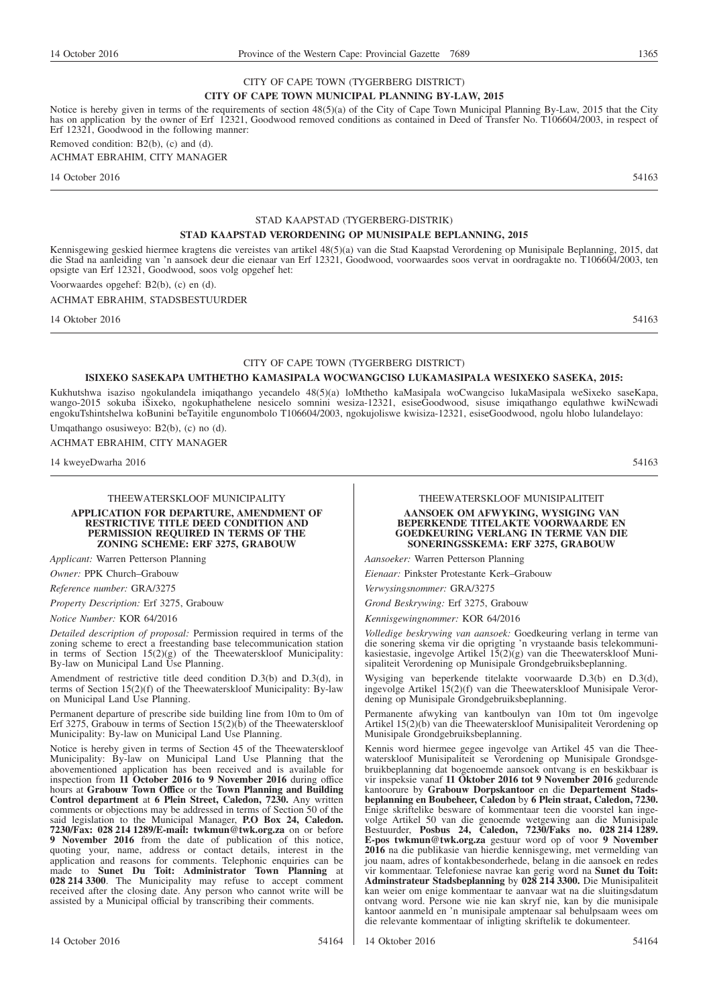#### CITY OF CAPE TOWN (TYGERBERG DISTRICT) **CITY OF CAPE TOWN MUNICIPAL PLANNING BY-LAW, 2015**

Notice is hereby given in terms of the requirements of section 48(5)(a) of the City of Cape Town Municipal Planning By-Law, 2015 that the City has on application by the owner of Erf 12321, Goodwood removed conditions as contained in Deed of Transfer No. T106604/2003, in respect of Erf 12321, Goodwood in the following manner: Removed condition: B2(b), (c) and (d).

ACHMAT EBRAHIM, CITY MANAGER

14 October 2016 54163

### STAD KAAPSTAD (TYGERBERG-DISTRIK)

#### **STAD KAAPSTAD VERORDENING OP MUNISIPALE BEPLANNING, 2015**

Kennisgewing geskied hiermee kragtens die vereistes van artikel 48(5)(a) van die Stad Kaapstad Verordening op Munisipale Beplanning, 2015, dat die Stad na aanleiding van 'n aansoek deur die eienaar van Erf 12321, Goodwood, voorwaardes soos vervat in oordragakte no. T106604/2003, ten opsigte van Erf 12321, Goodwood, soos volg opgehef het:

Voorwaardes opgehef: B2(b), (c) en (d).

ACHMAT EBRAHIM, STADSBESTUURDER

14 Oktober 2016 54163

#### CITY OF CAPE TOWN (TYGERBERG DISTRICT)

#### **ISIXEKO SASEKAPA UMTHETHO KAMASIPALA WOCWANGCISO LUKAMASIPALA WESIXEKO SASEKA, 2015:**

Kukhutshwa isaziso ngokulandela imiqathango yecandelo 48(5)(a) loMthetho kaMasipala woCwangciso lukaMasipala weSixeko saseKapa, wango-2015 sokuba iSixeko, ngokuphathelene nesicelo somnini wesiza-12321, esiseGoodwood, sisuse imiqathango equlathwe kwiNcwadi engokuTshintshelwa koBunini beTayitile engunombolo T106604/2003, ngokujoliswe kwisiza-12321, esiseGoodwood, ngolu hlobo lulandelayo:

Umqathango osusiweyo: B2(b), (c) no (d). ACHMAT EBRAHIM, CITY MANAGER

14 kweyeDwarha 2016 54163

#### THEEWATERSKLOOF MUNICIPALITY **APPLICATION FOR DEPARTURE, AMENDMENT OF RESTRICTIVE TITLE DEED CONDITION AND**

**PERMISSION REQUIRED IN TERMS OF THE ZONING SCHEME: ERF 3275, GRABOUW**

*Applicant:* Warren Petterson Planning *Owner:* PPK Church–Grabouw

*Reference number:* GRA/3275

*Property Description:* Erf 3275, Grabouw

*Notice Number:* KOR 64/2016

*Detailed description of proposal:* Permission required in terms of the zoning scheme to erect a freestanding base telecommunication station in terms of Section  $15(2)(g)$  of the Theewaterskloof Municipality: By-law on Municipal Land Use Planning.

Amendment of restrictive title deed condition D.3(b) and D.3(d), in terms of Section 15(2)(f) of the Theewaterskloof Municipality: By-law on Municipal Land Use Planning.

Permanent departure of prescribe side building line from 10m to 0m of Erf 3275, Grabouw in terms of Section  $15(2)(\bar{b})$  of the Theewaterskloof Municipality: By-law on Municipal Land Use Planning.

Notice is hereby given in terms of Section 45 of the Theewaterskloof Municipality: By-law on Municipal Land Use Planning that the abovementioned application has been received and is available for inspection from **11 October 2016 to 9 November 2016** during office hours at **Grabouw Town Office** or the **Town Planning and Building Control department** at **6 Plein Street, Caledon, 7230.** Any written comments or objections may be addressed in terms of Section 50 of the said legislation to the Municipal Manager, **P.O Box 24, Caledon. 7230/Fax: 028 214 1289/E-mail: twkmun@twk.org.za** on or before **9 November 2016** from the date of publication of this notice, quoting your, name, address or contact details, interest in the application and reasons for comments. Telephonic enquiries can be made to **Sunet Du Toit: Administrator Town Planning** at **028 214 3300**. The Municipality may refuse to accept comment received after the closing date. Any person who cannot write will be assisted by a Municipal official by transcribing their comments.

#### THEEWATERSKLOOF MUNISIPALITEIT

#### **AANSOEK OM AFWYKING, WYSIGING VAN BEPERKENDE TITELAKTE VOORWAARDE EN GOEDKEURING VERLANG IN TERME VAN DIE SONERINGSSKEMA: ERF 3275, GRABOUW**

*Aansoeker:* Warren Petterson Planning

*Eienaar:* Pinkster Protestante Kerk–Grabouw

*Verwysingsnommer:* GRA/3275

*Grond Beskrywing:* Erf 3275, Grabouw

*Kennisgewingnommer:* KOR 64/2016

*Volledige beskrywing van aansoek:* Goedkeuring verlang in terme van die sonering skema vir die oprigting 'n vrystaande basis telekommunikasiestasie, ingevolge Artikel  $15(2)(g)$  van die Theewaterskloof Munisipaliteit Verordening op Munisipale Grondgebruiksbeplanning.

Wysiging van beperkende titelakte voorwaarde D.3(b) en D.3(d), ingevolge Artikel 15(2)(f) van die Theewaterskloof Munisipale Verordening op Munisipale Grondgebruiksbeplanning.

Permanente afwyking van kantboulyn van 10m tot 0m ingevolge Artikel 15(2)(b) van die Theewaterskloof Munisipaliteit Verordening op Munisipale Grondgebruiksbeplanning.

Kennis word hiermee gegee ingevolge van Artikel 45 van die Theewaterskloof Munisipaliteit se Verordening op Munisipale Grondsgebruikbeplanning dat bogenoemde aansoek ontvang is en beskikbaar is vir inspeksie vanaf **11 Oktober 2016 tot 9 November 2016** gedurende kantoorure by **Grabouw Dorpskantoor** en die **Departement Stadsbeplanning en Boubeheer, Caledon** by **6 Plein straat, Caledon, 7230.** Enige skriftelike besware of kommentaar teen die voorstel kan ingevolge Artikel 50 van die genoemde wetgewing aan die Munisipale Bestuurder, **Posbus 24, Caledon, 7230/Faks no. 028 214 1289. E-pos twkmun@twk.org.za** gestuur word op of voor **9 November 2016** na die publikasie van hierdie kennisgewing, met vermelding van jou naam, adres of kontakbesonderhede, belang in die aansoek en redes vir kommentaar. Telefoniese navrae kan gerig word na **Sunet du Toit: Adminstrateur Stadsbeplanning** by **028 214 3300.** Die Munisipaliteit kan weier om enige kommentaar te aanvaar wat na die sluitingsdatum ontvang word. Persone wie nie kan skryf nie, kan by die munisipale kantoor aanmeld en 'n munisipale amptenaar sal behulpsaam wees om die relevante kommentaar of inligting skriftelik te dokumenteer.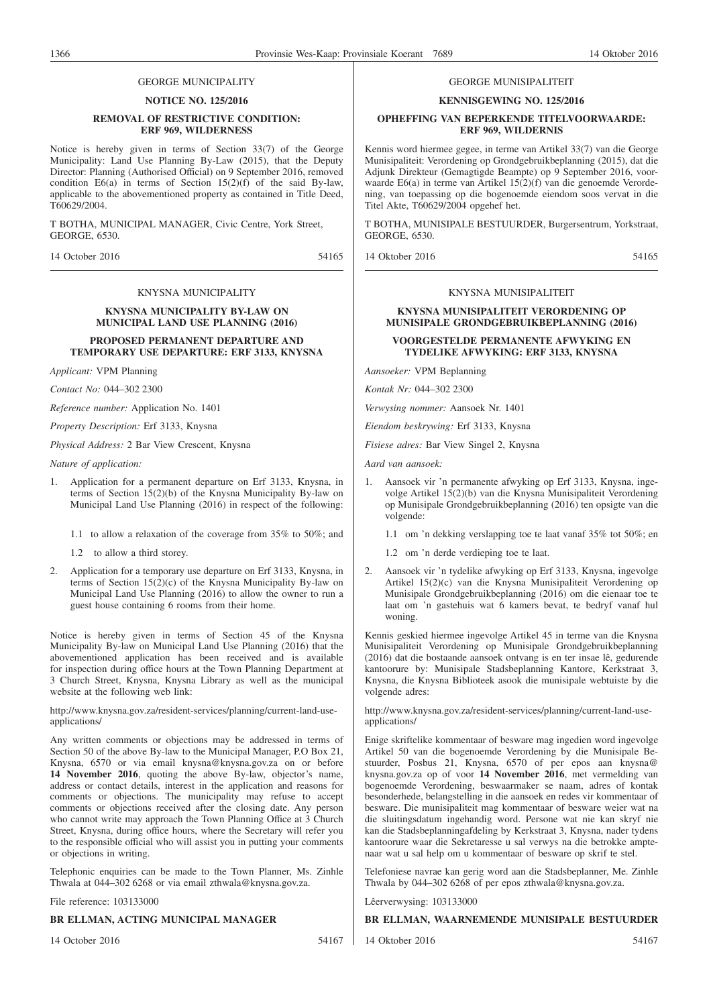#### GEORGE MUNICIPALITY

#### **NOTICE NO. 125/2016**

#### **REMOVAL OF RESTRICTIVE CONDITION: ERF 969, WILDERNESS**

Notice is hereby given in terms of Section 33(7) of the George Municipality: Land Use Planning By-Law (2015), that the Deputy Director: Planning (Authorised Official) on 9 September 2016, removed condition  $E6(a)$  in terms of Section  $15(2)(f)$  of the said By-law, applicable to the abovementioned property as contained in Title Deed, T60629/2004.

T BOTHA, MUNICIPAL MANAGER, Civic Centre, York Street, GEORGE, 6530.

14 October 2016 54165

#### KNYSNA MUNICIPALITY

#### **KNYSNA MUNICIPALITY BY-LAW ON MUNICIPAL LAND USE PLANNING (2016)**

#### **PROPOSED PERMANENT DEPARTURE AND TEMPORARY USE DEPARTURE: ERF 3133, KNYSNA**

*Applicant:* VPM Planning

*Contact No:* 044–302 2300

*Reference number:* Application No. 1401

*Property Description:* Erf 3133, Knysna

*Physical Address:* 2 Bar View Crescent, Knysna

*Nature of application:*

- 1. Application for a permanent departure on Erf 3133, Knysna, in terms of Section 15(2)(b) of the Knysna Municipality By-law on Municipal Land Use Planning (2016) in respect of the following:
	- 1.1 to allow a relaxation of the coverage from 35% to 50%; and
	- 1.2 to allow a third storey.
- 2. Application for a temporary use departure on Erf 3133, Knysna, in terms of Section 15(2)(c) of the Knysna Municipality By-law on Municipal Land Use Planning (2016) to allow the owner to run a guest house containing 6 rooms from their home.

Notice is hereby given in terms of Section 45 of the Knysna Municipality By-law on Municipal Land Use Planning (2016) that the abovementioned application has been received and is available for inspection during office hours at the Town Planning Department at 3 Church Street, Knysna, Knysna Library as well as the municipal website at the following web link:

http://www.knysna.gov.za/resident-services/planning/current-land-useapplications/

Any written comments or objections may be addressed in terms of Section 50 of the above By-law to the Municipal Manager, P.O Box 21, Knysna, 6570 or via email knysna@knysna.gov.za on or before **14 November 2016**, quoting the above By-law, objector's name, address or contact details, interest in the application and reasons for comments or objections. The municipality may refuse to accept comments or objections received after the closing date. Any person who cannot write may approach the Town Planning Office at 3 Church Street, Knysna, during office hours, where the Secretary will refer you to the responsible official who will assist you in putting your comments or objections in writing.

Telephonic enquiries can be made to the Town Planner, Ms. Zinhle Thwala at 044–302 6268 or via email zthwala@knysna.gov.za.

File reference: 103133000

#### **BR ELLMAN, ACTING MUNICIPAL MANAGER**

14 October 2016 54167

#### GEORGE MUNISIPALITEIT

#### **KENNISGEWING NO. 125/2016**

#### **OPHEFFING VAN BEPERKENDE TITELVOORWAARDE: ERF 969, WILDERNIS**

Kennis word hiermee gegee, in terme van Artikel 33(7) van die George Munisipaliteit: Verordening op Grondgebruikbeplanning (2015), dat die Adjunk Direkteur (Gemagtigde Beampte) op 9 September 2016, voorwaarde E6(a) in terme van Artikel 15(2)(f) van die genoemde Verordening, van toepassing op die bogenoemde eiendom soos vervat in die Titel Akte, T60629/2004 opgehef het.

T BOTHA, MUNISIPALE BESTUURDER, Burgersentrum, Yorkstraat, GEORGE, 6530.

14 Oktober 2016 54165

#### KNYSNA MUNISIPALITEIT

#### **KNYSNA MUNISIPALITEIT VERORDENING OP MUNISIPALE GRONDGEBRUIKBEPLANNING (2016)**

#### **VOORGESTELDE PERMANENTE AFWYKING EN TYDELIKE AFWYKING: ERF 3133, KNYSNA**

*Aansoeker:* VPM Beplanning

*Kontak Nr:* 044–302 2300

*Verwysing nommer:* Aansoek Nr. 1401

*Eiendom beskrywing:* Erf 3133, Knysna

*Fisiese adres:* Bar View Singel 2, Knysna

*Aard van aansoek:*

1. Aansoek vir 'n permanente afwyking op Erf 3133, Knysna, ingevolge Artikel 15(2)(b) van die Knysna Munisipaliteit Verordening op Munisipale Grondgebruikbeplanning (2016) ten opsigte van die volgende:

1.1 om 'n dekking verslapping toe te laat vanaf 35% tot 50%; en

- 1.2 om 'n derde verdieping toe te laat.
- 2. Aansoek vir 'n tydelike afwyking op Erf 3133, Knysna, ingevolge Artikel 15(2)(c) van die Knysna Munisipaliteit Verordening op Munisipale Grondgebruikbeplanning (2016) om die eienaar toe te laat om 'n gastehuis wat 6 kamers bevat, te bedryf vanaf hul woning.

Kennis geskied hiermee ingevolge Artikel 45 in terme van die Knysna Munisipaliteit Verordening op Munisipale Grondgebruikbeplanning (2016) dat die bostaande aansoek ontvang is en ter insae lê, gedurende kantoorure by: Munisipale Stadsbeplanning Kantore, Kerkstraat 3, Knysna, die Knysna Biblioteek asook die munisipale webtuiste by die volgende adres:

http://www.knysna.gov.za/resident-services/planning/current-land-useapplications/

Enige skriftelike kommentaar of besware mag ingedien word ingevolge Artikel 50 van die bogenoemde Verordening by die Munisipale Bestuurder, Posbus 21, Knysna, 6570 of per epos aan knysna@ knysna.gov.za op of voor **14 November 2016**, met vermelding van bogenoemde Verordening, beswaarmaker se naam, adres of kontak besonderhede, belangstelling in die aansoek en redes vir kommentaar of besware. Die munisipaliteit mag kommentaar of besware weier wat na die sluitingsdatum ingehandig word. Persone wat nie kan skryf nie kan die Stadsbeplanningafdeling by Kerkstraat 3, Knysna, nader tydens kantoorure waar die Sekretaresse u sal verwys na die betrokke amptenaar wat u sal help om u kommentaar of besware op skrif te stel.

Telefoniese navrae kan gerig word aan die Stadsbeplanner, Me. Zinhle Thwala by 044–302 6268 of per epos zthwala@knysna.gov.za.

Lêerverwysing: 103133000

#### **BR ELLMAN, WAARNEMENDE MUNISIPALE BESTUURDER**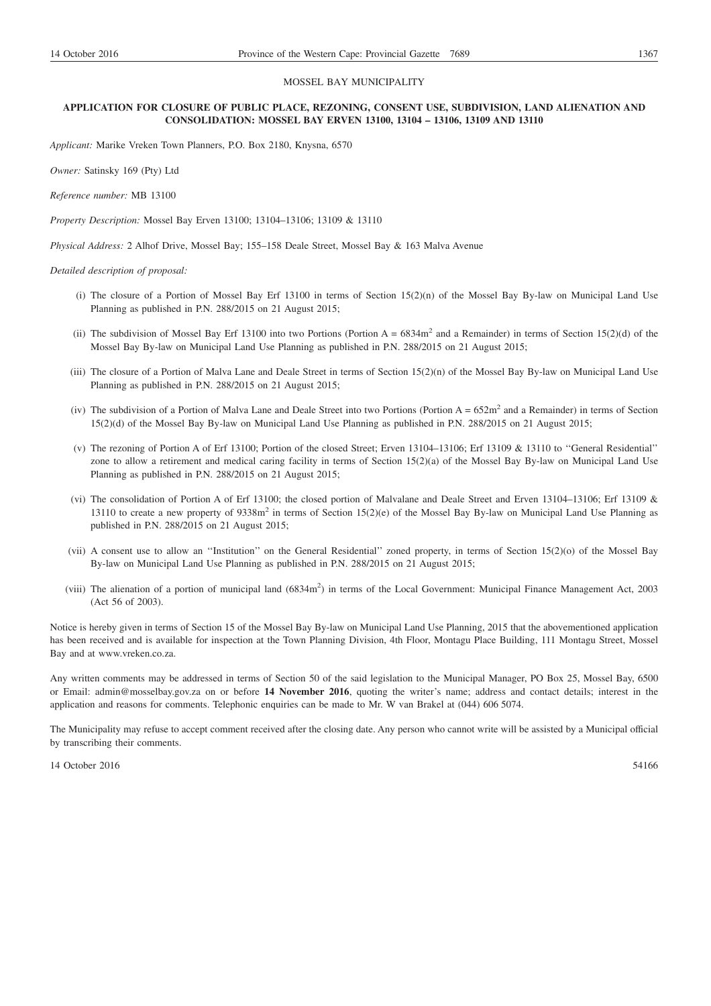#### MOSSEL BAY MUNICIPALITY

#### **APPLICATION FOR CLOSURE OF PUBLIC PLACE, REZONING, CONSENT USE, SUBDIVISION, LAND ALIENATION AND CONSOLIDATION: MOSSEL BAY ERVEN 13100, 13104 – 13106, 13109 AND 13110**

*Applicant:* Marike Vreken Town Planners, P.O. Box 2180, Knysna, 6570

*Owner:* Satinsky 169 (Pty) Ltd

*Reference number:* MB 13100

*Property Description:* Mossel Bay Erven 13100; 13104–13106; 13109 & 13110

*Physical Address:* 2 Alhof Drive, Mossel Bay; 155–158 Deale Street, Mossel Bay & 163 Malva Avenue

*Detailed description of proposal:*

- (i) The closure of a Portion of Mossel Bay Erf 13100 in terms of Section  $15(2)(n)$  of the Mossel Bay By-law on Municipal Land Use Planning as published in P.N. 288/2015 on 21 August 2015;
- (ii) The subdivision of Mossel Bay Erf 13100 into two Portions (Portion  $A = 6834m^2$  and a Remainder) in terms of Section 15(2)(d) of the Mossel Bay By-law on Municipal Land Use Planning as published in P.N. 288/2015 on 21 August 2015;
- (iii) The closure of a Portion of Malva Lane and Deale Street in terms of Section 15(2)(n) of the Mossel Bay By-law on Municipal Land Use Planning as published in P.N. 288/2015 on 21 August 2015;
- (iv) The subdivision of a Portion of Malva Lane and Deale Street into two Portion  $A = 652m^2$  and a Remainder) in terms of Section 15(2)(d) of the Mossel Bay By-law on Municipal Land Use Planning as published in P.N. 288/2015 on 21 August 2015;
- (v) The rezoning of Portion A of Erf 13100; Portion of the closed Street; Erven 13104–13106; Erf 13109 & 13110 to ''General Residential'' zone to allow a retirement and medical caring facility in terms of Section 15(2)(a) of the Mossel Bay By-law on Municipal Land Use Planning as published in P.N. 288/2015 on 21 August 2015;
- (vi) The consolidation of Portion A of Erf 13100; the closed portion of Malvalane and Deale Street and Erven 13104–13106; Erf 13109 & 13110 to create a new property of  $9338m<sup>2</sup>$  in terms of Section 15(2)(e) of the Mossel Bay By-law on Municipal Land Use Planning as published in P.N. 288/2015 on 21 August 2015;
- (vii) A consent use to allow an ''Institution'' on the General Residential'' zoned property, in terms of Section 15(2)(o) of the Mossel Bay By-law on Municipal Land Use Planning as published in P.N. 288/2015 on 21 August 2015;
- (viii) The alienation of a portion of municipal land (6834m<sup>2</sup>) in terms of the Local Government: Municipal Finance Management Act, 2003 (Act 56 of 2003).

Notice is hereby given in terms of Section 15 of the Mossel Bay By-law on Municipal Land Use Planning, 2015 that the abovementioned application has been received and is available for inspection at the Town Planning Division, 4th Floor, Montagu Place Building, 111 Montagu Street, Mossel Bay and at www.vreken.co.za.

Any written comments may be addressed in terms of Section 50 of the said legislation to the Municipal Manager, PO Box 25, Mossel Bay, 6500 or Email: admin@mosselbay.gov.za on or before **14 November 2016**, quoting the writer's name; address and contact details; interest in the application and reasons for comments. Telephonic enquiries can be made to Mr. W van Brakel at (044) 606 5074.

The Municipality may refuse to accept comment received after the closing date. Any person who cannot write will be assisted by a Municipal official by transcribing their comments.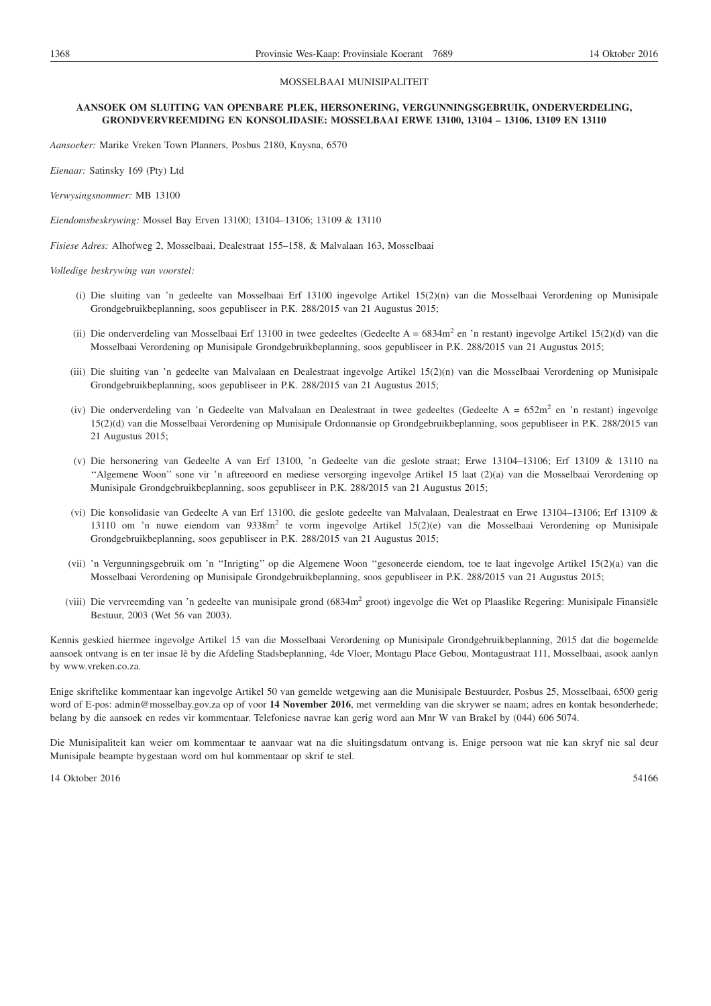#### MOSSELBAAI MUNISIPALITEIT

#### **AANSOEK OM SLUITING VAN OPENBARE PLEK, HERSONERING, VERGUNNINGSGEBRUIK, ONDERVERDELING, GRONDVERVREEMDING EN KONSOLIDASIE: MOSSELBAAI ERWE 13100, 13104 – 13106, 13109 EN 13110**

*Aansoeker:* Marike Vreken Town Planners, Posbus 2180, Knysna, 6570

*Eienaar:* Satinsky 169 (Pty) Ltd

*Verwysingsnommer:* MB 13100

*Eiendomsbeskrywing:* Mossel Bay Erven 13100; 13104–13106; 13109 & 13110

*Fisiese Adres:* Alhofweg 2, Mosselbaai, Dealestraat 155–158, & Malvalaan 163, Mosselbaai

*Volledige beskrywing van voorstel:*

- (i) Die sluiting van 'n gedeelte van Mosselbaai Erf 13100 ingevolge Artikel 15(2)(n) van die Mosselbaai Verordening op Munisipale Grondgebruikbeplanning, soos gepubliseer in P.K. 288/2015 van 21 Augustus 2015;
- (ii) Die onderverdeling van Mosselbaai Erf 13100 in twee gedeeltes (Gedeelte A =  $6834$ m<sup>2</sup> en 'n restant) ingevolge Artikel 15(2)(d) van die Mosselbaai Verordening op Munisipale Grondgebruikbeplanning, soos gepubliseer in P.K. 288/2015 van 21 Augustus 2015;
- (iii) Die sluiting van 'n gedeelte van Malvalaan en Dealestraat ingevolge Artikel 15(2)(n) van die Mosselbaai Verordening op Munisipale Grondgebruikbeplanning, soos gepubliseer in P.K. 288/2015 van 21 Augustus 2015;
- (iv) Die onderverdeling van 'n Gedeelte van Malvalaan en Dealestraat in twee gedeeltes (Gedeelte A = 652m<sup>2</sup> en 'n restant) ingevolge 15(2)(d) van die Mosselbaai Verordening op Munisipale Ordonnansie op Grondgebruikbeplanning, soos gepubliseer in P.K. 288/2015 van 21 Augustus 2015;
- (v) Die hersonering van Gedeelte A van Erf 13100, 'n Gedeelte van die geslote straat; Erwe 13104–13106; Erf 13109 & 13110 na ''Algemene Woon'' sone vir 'n aftreeoord en mediese versorging ingevolge Artikel 15 laat (2)(a) van die Mosselbaai Verordening op Munisipale Grondgebruikbeplanning, soos gepubliseer in P.K. 288/2015 van 21 Augustus 2015;
- (vi) Die konsolidasie van Gedeelte A van Erf 13100, die geslote gedeelte van Malvalaan, Dealestraat en Erwe 13104–13106; Erf 13109 & 13110 om 'n nuwe eiendom van 9338m2 te vorm ingevolge Artikel 15(2)(e) van die Mosselbaai Verordening op Munisipale Grondgebruikbeplanning, soos gepubliseer in P.K. 288/2015 van 21 Augustus 2015;
- (vii) 'n Vergunningsgebruik om 'n ''Inrigting'' op die Algemene Woon ''gesoneerde eiendom, toe te laat ingevolge Artikel 15(2)(a) van die Mosselbaai Verordening op Munisipale Grondgebruikbeplanning, soos gepubliseer in P.K. 288/2015 van 21 Augustus 2015;
- (viii) Die vervreemding van 'n gedeelte van munisipale grond (6834m<sup>2</sup> groot) ingevolge die Wet op Plaaslike Regering: Munisipale Finansiële Bestuur, 2003 (Wet 56 van 2003).

Kennis geskied hiermee ingevolge Artikel 15 van die Mosselbaai Verordening op Munisipale Grondgebruikbeplanning, 2015 dat die bogemelde aansoek ontvang is en ter insae lê by die Afdeling Stadsbeplanning, 4de Vloer, Montagu Place Gebou, Montagustraat 111, Mosselbaai, asook aanlyn by www.vreken.co.za.

Enige skriftelike kommentaar kan ingevolge Artikel 50 van gemelde wetgewing aan die Munisipale Bestuurder, Posbus 25, Mosselbaai, 6500 gerig word of E-pos: admin@mosselbay.gov.za op of voor **14 November 2016**, met vermelding van die skrywer se naam; adres en kontak besonderhede; belang by die aansoek en redes vir kommentaar. Telefoniese navrae kan gerig word aan Mnr W van Brakel by (044) 606 5074.

Die Munisipaliteit kan weier om kommentaar te aanvaar wat na die sluitingsdatum ontvang is. Enige persoon wat nie kan skryf nie sal deur Munisipale beampte bygestaan word om hul kommentaar op skrif te stel.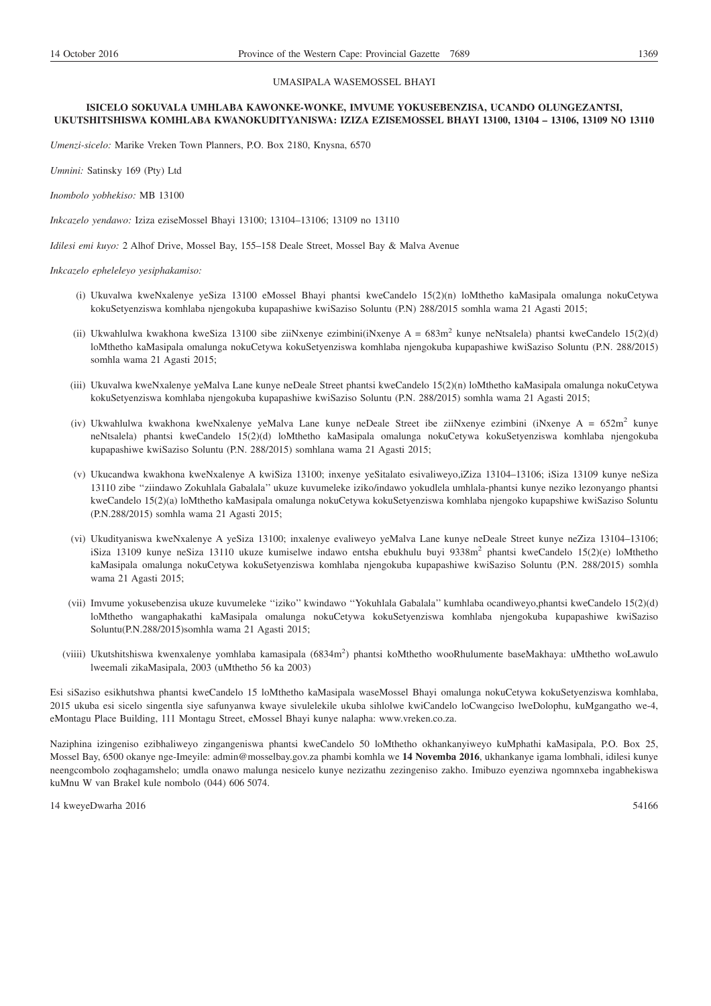#### UMASIPALA WASEMOSSEL BHAYI

#### **ISICELO SOKUVALA UMHLABA KAWONKE-WONKE, IMVUME YOKUSEBENZISA, UCANDO OLUNGEZANTSI, UKUTSHITSHISWA KOMHLABA KWANOKUDITYANISWA: IZIZA EZISEMOSSEL BHAYI 13100, 13104 – 13106, 13109 NO 13110**

*Umenzi-sicelo:* Marike Vreken Town Planners, P.O. Box 2180, Knysna, 6570

*Umnini:* Satinsky 169 (Pty) Ltd

*Inombolo yobhekiso:* MB 13100

*Inkcazelo yendawo:* Iziza eziseMossel Bhayi 13100; 13104–13106; 13109 no 13110

*Idilesi emi kuyo:* 2 Alhof Drive, Mossel Bay, 155–158 Deale Street, Mossel Bay & Malva Avenue

*Inkcazelo epheleleyo yesiphakamiso:*

- (i) Ukuvalwa kweNxalenye yeSiza 13100 eMossel Bhayi phantsi kweCandelo 15(2)(n) loMthetho kaMasipala omalunga nokuCetywa kokuSetyenziswa komhlaba njengokuba kupapashiwe kwiSaziso Soluntu (P.N) 288/2015 somhla wama 21 Agasti 2015;
- (ii) Ukwahlulwa kwakhona kweSiza 13100 sibe ziiNxenye ezimbini(iNxenye A = 683m<sup>2</sup> kunye neNtsalela) phantsi kweCandelo 15(2)(d) loMthetho kaMasipala omalunga nokuCetywa kokuSetyenziswa komhlaba njengokuba kupapashiwe kwiSaziso Soluntu (P.N. 288/2015) somhla wama 21 Agasti 2015;
- (iii) Ukuvalwa kweNxalenye yeMalva Lane kunye neDeale Street phantsi kweCandelo 15(2)(n) loMthetho kaMasipala omalunga nokuCetywa kokuSetyenziswa komhlaba njengokuba kupapashiwe kwiSaziso Soluntu (P.N. 288/2015) somhla wama 21 Agasti 2015;
- (iv) Ukwahlulwa kwakhona kweNxalenye yeMalva Lane kunye neDeale Street ibe ziiNxenye ezimbini (iNxenye A =  $652m^2$  kunye neNtsalela) phantsi kweCandelo 15(2)(d) loMthetho kaMasipala omalunga nokuCetywa kokuSetyenziswa komhlaba njengokuba kupapashiwe kwiSaziso Soluntu (P.N. 288/2015) somhlana wama 21 Agasti 2015;
- (v) Ukucandwa kwakhona kweNxalenye A kwiSiza 13100; inxenye yeSitalato esivaliweyo,iZiza 13104–13106; iSiza 13109 kunye neSiza 13110 zibe ''ziindawo Zokuhlala Gabalala'' ukuze kuvumeleke iziko/indawo yokudlela umhlala-phantsi kunye neziko lezonyango phantsi kweCandelo 15(2)(a) loMthetho kaMasipala omalunga nokuCetywa kokuSetyenziswa komhlaba njengoko kupapshiwe kwiSaziso Soluntu (P.N.288/2015) somhla wama 21 Agasti 2015;
- (vi) Ukudityaniswa kweNxalenye A yeSiza 13100; inxalenye evaliweyo yeMalva Lane kunye neDeale Street kunye neZiza 13104–13106; iSiza 13109 kunye neSiza 13110 ukuze kumiselwe indawo entsha ebukhulu buyi 9338m<sup>2</sup> phantsi kweCandelo 15(2)(e) loMthetho kaMasipala omalunga nokuCetywa kokuSetyenziswa komhlaba njengokuba kupapashiwe kwiSaziso Soluntu (P.N. 288/2015) somhla wama 21 Agasti 2015;
- (vii) Imvume yokusebenzisa ukuze kuvumeleke ''iziko'' kwindawo ''Yokuhlala Gabalala'' kumhlaba ocandiweyo,phantsi kweCandelo 15(2)(d) loMthetho wangaphakathi kaMasipala omalunga nokuCetywa kokuSetyenziswa komhlaba njengokuba kupapashiwe kwiSaziso Soluntu(P.N.288/2015)somhla wama 21 Agasti 2015;
- (viiii) Ukutshitshiswa kwenxalenye yomhlaba kamasipala (6834m<sup>2</sup>) phantsi koMthetho wooRhulumente baseMakhaya: uMthetho woLawulo lweemali zikaMasipala, 2003 (uMthetho 56 ka 2003)

Esi siSaziso esikhutshwa phantsi kweCandelo 15 loMthetho kaMasipala waseMossel Bhayi omalunga nokuCetywa kokuSetyenziswa komhlaba, 2015 ukuba esi sicelo singentla siye safunyanwa kwaye sivulelekile ukuba sihlolwe kwiCandelo loCwangciso lweDolophu, kuMgangatho we-4, eMontagu Place Building, 111 Montagu Street, eMossel Bhayi kunye nalapha: www.vreken.co.za.

Naziphina izingeniso ezibhaliweyo zingangeniswa phantsi kweCandelo 50 loMthetho okhankanyiweyo kuMphathi kaMasipala, P.O. Box 25, Mossel Bay, 6500 okanye nge-Imeyile: admin@mosselbay.gov.za phambi komhla we **14 Novemba 2016**, ukhankanye igama lombhali, idilesi kunye neengcombolo zoqhagamshelo; umdla onawo malunga nesicelo kunye nezizathu zezingeniso zakho. Imibuzo eyenziwa ngomnxeba ingabhekiswa kuMnu W van Brakel kule nombolo (044) 606 5074.

14 kweyeDwarha 2016 54166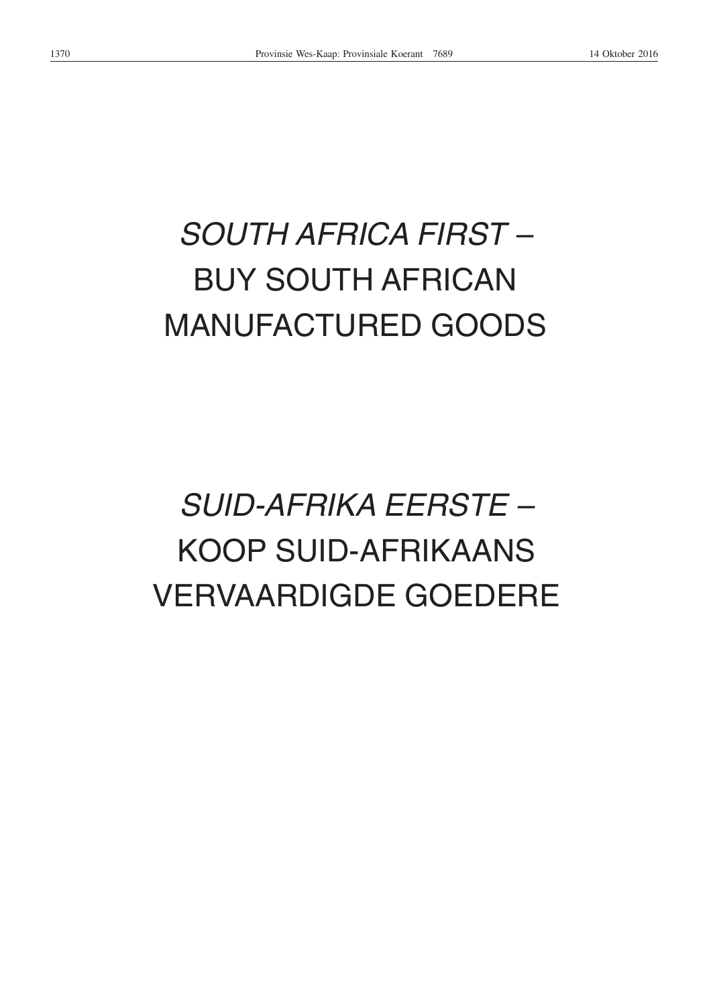# *SOUTH AFRICA FIRST –* BUY SOUTH AFRICAN MANUFACTURED GOODS

# *SUID-AFRIKA EERSTE –* KOOP SUID-AFRIKAANS VERVAARDIGDE GOEDERE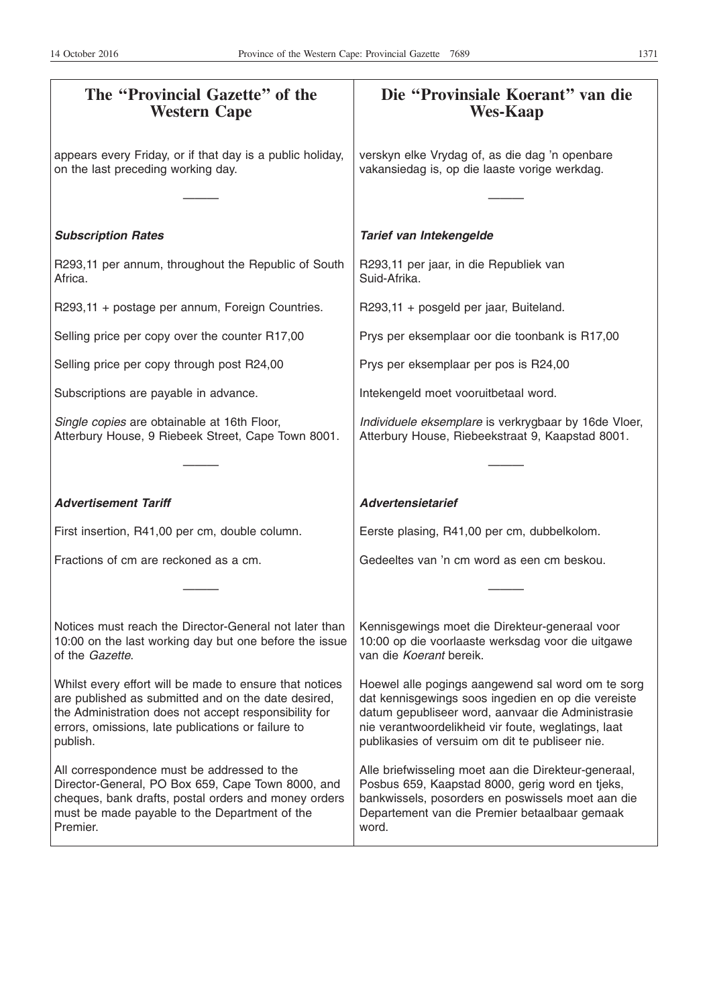| The "Provincial Gazette" of the<br><b>Western Cape</b>                                                                                                                                                                                    | Die "Provinsiale Koerant" van die<br><b>Wes-Kaap</b>                                                                                                                                                                                                                   |
|-------------------------------------------------------------------------------------------------------------------------------------------------------------------------------------------------------------------------------------------|------------------------------------------------------------------------------------------------------------------------------------------------------------------------------------------------------------------------------------------------------------------------|
| appears every Friday, or if that day is a public holiday,<br>on the last preceding working day.                                                                                                                                           | verskyn elke Vrydag of, as die dag 'n openbare<br>vakansiedag is, op die laaste vorige werkdag.                                                                                                                                                                        |
|                                                                                                                                                                                                                                           |                                                                                                                                                                                                                                                                        |
| <b>Subscription Rates</b>                                                                                                                                                                                                                 | Tarief van Intekengelde                                                                                                                                                                                                                                                |
| R293,11 per annum, throughout the Republic of South<br>Africa.                                                                                                                                                                            | R293,11 per jaar, in die Republiek van<br>Suid-Afrika.                                                                                                                                                                                                                 |
| R293,11 + postage per annum, Foreign Countries.                                                                                                                                                                                           | R293,11 + posgeld per jaar, Buiteland.                                                                                                                                                                                                                                 |
| Selling price per copy over the counter R17,00                                                                                                                                                                                            | Prys per eksemplaar oor die toonbank is R17,00                                                                                                                                                                                                                         |
| Selling price per copy through post R24,00                                                                                                                                                                                                | Prys per eksemplaar per pos is R24,00                                                                                                                                                                                                                                  |
| Subscriptions are payable in advance.                                                                                                                                                                                                     | Intekengeld moet vooruitbetaal word.                                                                                                                                                                                                                                   |
| Single copies are obtainable at 16th Floor,<br>Atterbury House, 9 Riebeek Street, Cape Town 8001.                                                                                                                                         | Individuele eksemplare is verkrygbaar by 16de Vloer,<br>Atterbury House, Riebeekstraat 9, Kaapstad 8001.                                                                                                                                                               |
|                                                                                                                                                                                                                                           |                                                                                                                                                                                                                                                                        |
| <b>Advertisement Tariff</b>                                                                                                                                                                                                               | <b>Advertensietarief</b>                                                                                                                                                                                                                                               |
| First insertion, R41,00 per cm, double column.                                                                                                                                                                                            | Eerste plasing, R41,00 per cm, dubbelkolom.                                                                                                                                                                                                                            |
| Fractions of cm are reckoned as a cm.                                                                                                                                                                                                     | Gedeeltes van 'n cm word as een cm beskou.                                                                                                                                                                                                                             |
|                                                                                                                                                                                                                                           |                                                                                                                                                                                                                                                                        |
| Notices must reach the Director-General not later than<br>10:00 on the last working day but one before the issue<br>of the <i>Gazette</i> .                                                                                               | Kennisgewings moet die Direkteur-generaal voor<br>10:00 op die voorlaaste werksdag voor die uitgawe<br>van die Koerant bereik.                                                                                                                                         |
| Whilst every effort will be made to ensure that notices<br>are published as submitted and on the date desired,<br>the Administration does not accept responsibility for<br>errors, omissions, late publications or failure to<br>publish. | Hoewel alle pogings aangewend sal word om te sorg<br>dat kennisgewings soos ingedien en op die vereiste<br>datum gepubliseer word, aanvaar die Administrasie<br>nie verantwoordelikheid vir foute, weglatings, laat<br>publikasies of versuim om dit te publiseer nie. |
| All correspondence must be addressed to the<br>Director-General, PO Box 659, Cape Town 8000, and<br>cheques, bank drafts, postal orders and money orders<br>must be made payable to the Department of the<br>Premier.                     | Alle briefwisseling moet aan die Direkteur-generaal,<br>Posbus 659, Kaapstad 8000, gerig word en tjeks,<br>bankwissels, posorders en poswissels moet aan die<br>Departement van die Premier betaalbaar gemaak<br>word.                                                 |